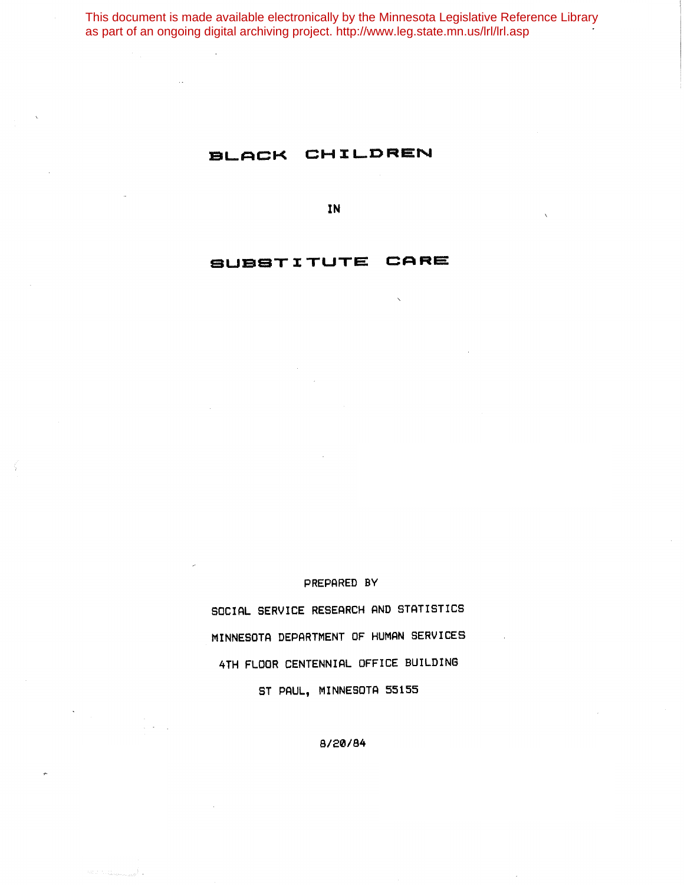This document is made available electronically by the Minnesota Legislative Reference Library as part of an ongoing digital archiving project. http://www.leg.state.mn.us/lrl/lrl.asp

# BLACK CHILDREN

**IN**

## **SUBSTI:TUTE CARE**

#### PREPARED BY

SOCIAL SERVICE RESEARCH AND STATISTICS MINNESOTA DEPARTMENT OF HUMAN SERVICES 4TH FLOOR CENTENNIAL OFFICE BUILDING ST PAUL, MINNESOTA 55155

8/20/84

 $\label{eq:1} \mathcal{L}(\mathcal{C}_{\text{out}},\mathcal{C}_{\text{out}},\mathcal{C}_{\text{out}},\mathcal{C}_{\text{out}},\mathcal{C}_{\text{out}},\mathcal{C}_{\text{out}},\mathcal{C}_{\text{out}},\mathcal{C}_{\text{out}},\mathcal{C}_{\text{out}},\mathcal{C}_{\text{out}},\mathcal{C}_{\text{out}},\mathcal{C}_{\text{out}},\mathcal{C}_{\text{out}},\mathcal{C}_{\text{out}},\mathcal{C}_{\text{out}},\mathcal{C}_{\text{out}},\mathcal{C}_{\text{out}},\mathcal{C}_{\text{out}},\mathcal{C}_{\text{$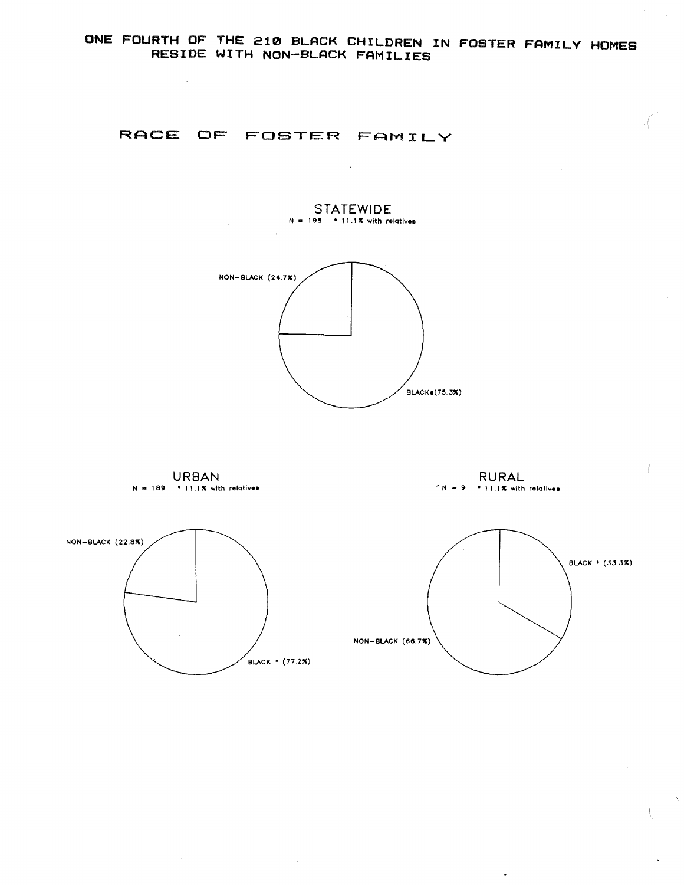### **RACE OF FOSTER FAMILY**



 $\mathcal{L}_{\text{max}}$  and  $\mathcal{L}_{\text{max}}$  . We set

 $N = 189$  • 11.1% with relatives  $NON-BLACK (66.7%)$ NON- BLACK (22.8X)  $B LACK * (77.2X)$ 

 $\Delta$ 

**URBAN**

 $\sim$   $\sim$ 

**RURAL**  $-N = 9$  • 11.1% with relatives

 $\frac{1}{2}$ 



 $\hat{\mathbf{r}}$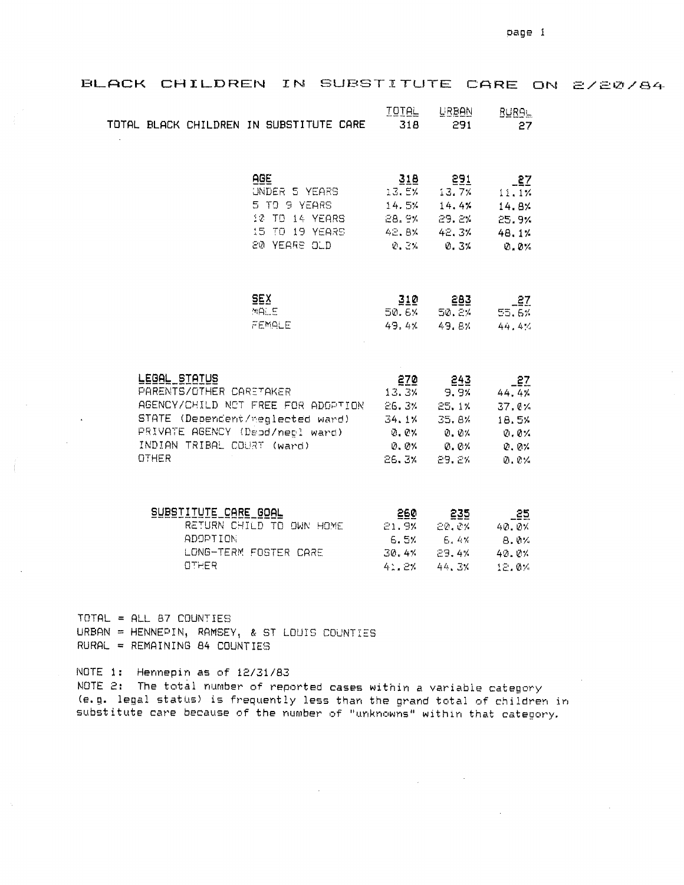| BLACK CHILDREN IN SUBSTITUTE CARE ON 2/20/84                                          |                                                                                                                                             |                                                                                                                                        |                                                                                                                                    |                                                        |  |
|---------------------------------------------------------------------------------------|---------------------------------------------------------------------------------------------------------------------------------------------|----------------------------------------------------------------------------------------------------------------------------------------|------------------------------------------------------------------------------------------------------------------------------------|--------------------------------------------------------|--|
| TOTAL BLACK CHILDREN IN SUBSTITUTE CARE                                               |                                                                                                                                             | <b>IQIAL</b><br>318                                                                                                                    | <b>URBAN</b><br>291                                                                                                                | <b>RURAL</b><br>27                                     |  |
|                                                                                       | AGE<br>UNDER 5 YEARS<br>5 TO 9 YEARS<br>10 TO 14 YEARS<br>15 TO 19 YEARS<br>20 YEARS OLD                                                    | 318<br>13.EX<br>14.5%<br>28.9%<br>0.3% 0.3%                                                                                            | <u>291</u><br>$13.7\%$<br>14.4%<br>29.2%<br>42.8% 42.3%                                                                            | $-27$<br>11.1%<br>14.8%<br>25.9%<br>48.1%<br>$Q_0 Q_2$ |  |
|                                                                                       | <b>SEX</b><br>MRLE<br>FEMALE                                                                                                                | 310<br>50.6%<br>49.4%                                                                                                                  | 283<br>50.2%<br>49.8%                                                                                                              | $-27$<br>55.6%<br>44.4%                                |  |
| LEGAL STATUS<br>PARENTS/OTHER CARETAKER<br>INDIAN TRIBAL COURT (ward)<br><b>OTHER</b> | AGENCY/CHILD NOT FREE FOR ADDRITION 26.3%<br>STATE (Dependent/meglected ward) 34.1% 35.8%<br>PRIVATE AGENCY (Depd/negl ward) 0.0% 0.0% 0.0% | 270<br>13.3%<br>26.3%                                                                                                                  | 243<br>9.9%<br>25.1%<br>$\emptyset$ , $\emptyset$ $\times$ $\emptyset$ $\times$ $\emptyset$ $\times$ $\emptyset$ $\times$<br>29.2% | $-27$<br>44.4%<br>37.0%<br>18.5%<br>0.0%<br>0.0%       |  |
| SUBSTITUTE CARE GOAL<br><b>ADOPTION</b><br>OTHER                                      | RETURN CHILD TO OWN HOME<br>LONG-TERM FOSTER CARE                                                                                           | <u>260 - 260 - 260 - 260 - 260 - 260 - 260 - 260 - 260 - 260 - 260 - 260 - 260 - 260 - 260 - 260 - 260 - 260 - 2</u><br>21.9%<br>41.2% | 235<br>20. CX<br>6.5% $6.4%$ 8.0%<br>$30.4$ % $29.4$ % $40.0$ %<br>44.3%                                                           | $-25$<br>40.0%<br>12.0%                                |  |

TOTAL = ALL 87 COUNTIES URBAN = HENNEPIN, RAMSEY, & ST LOUIS COUNTIES RURAL = REMAINING 84 COUNTIES

NOTE 1: Hennepin as of 12/31/83 NOTE 2: The total number of reported cases within a variable category (e.g. legal status) is frequently less than the grand total of children in substitute care because of the number of "unknowns" within that category.

 $\mathcal{L}_{\mathcal{A}}$ 

 $\mathcal{L}^{\text{max}}_{\text{max}}$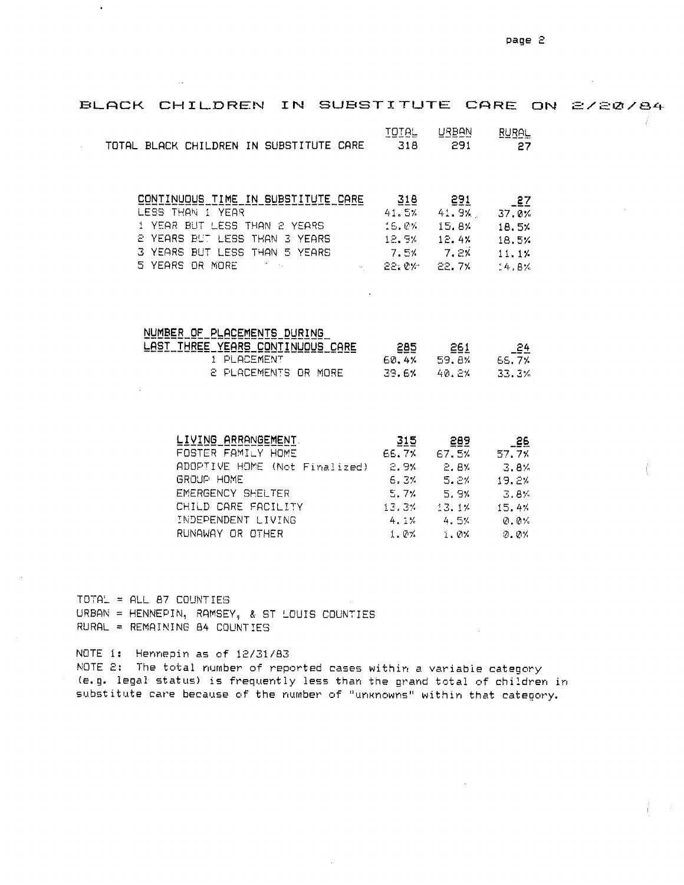BLACK CHILDREN IN SUBSTITUTE CARE ON 2/20/84 TOTAL **URBAN RURAL** TOTAL BLACK CHILDREN IN SUBSTITUTE CARE  $318$ 291  $\mathcal{L}^{\mathcal{L}}$ 27 CONTINUOUS TIME IN SUBSTITUTE CARE 291  $318$  $2^2$ 41.9%. LESS THAN I YEAR 41.5% 37.0% 1 YEAR BUT LESS THAN 2 YEARS 16.0% 15.8% 18.5% 2 YEARS BUT LESS THAN 3 YEARS 12.9%  $12.4%$ 18.5% 3 YEARS BUT LESS THAN 5 YEARS  $7.2\%$ 7.5%  $11.1%$ 5 YEARS OR MORE  $\mathbb{R}^{n\times n}$  and  $\mathbb{R}^{n\times n}$ 22.0%  $22.7%$  $64.8%$ NUMBER OF PLACEMENTS DURING

| LAST THREE YEARS CONTINUOUS CARE | 285    | 261    | 24     |
|----------------------------------|--------|--------|--------|
| 1 PLACEMENT                      | ---    |        | ----   |
|                                  | 60. 4% | 59. AX | 66. ZY |
| 2 PLACEMENTS OR MORE             | 39.6%  | 40. PX | -33.3% |

| LIVING ARRANGEMENT.           | 315     | 289   | _26    |
|-------------------------------|---------|-------|--------|
| FOSTER FAMILY HOME            | 66.7%   | 67.5% | 57.7%  |
| ADOPTIVE HOME (Not Finalized) | 2.9%    | -2.8% | - 3.8% |
| GROUP HOME                    | 6.3%    | -5.2% | 19.2%  |
| EMERGENCY SHELTER             | 5.7%    | 5.9%  | - 3.8% |
| CHILD CARE FACILITY           | 13.3%   | 13.1% | 15.4%  |
| INDEPENDENT LIVING            | 4.1%    | 4.5%  | 0.0%   |
| RUNAWAY OR OTHER              | $1.0\%$ | 1.0%  | 2.2%   |

 $TOTAL = ALL B7 COUNTIES$ URBAN = HENNEPIN, RAMSEY, & ST LOUIS COUNTIES RURAL = REMAINING 84 COUNTIES

 $\cdot$ 

NOTE i: Hennepin as of 12/31/83 NOTE 2: The total number of reported cases within a variable category (e.g. legal status) is frequently less than the grand total of children in substitute care because of the number of "unknowns" within that category.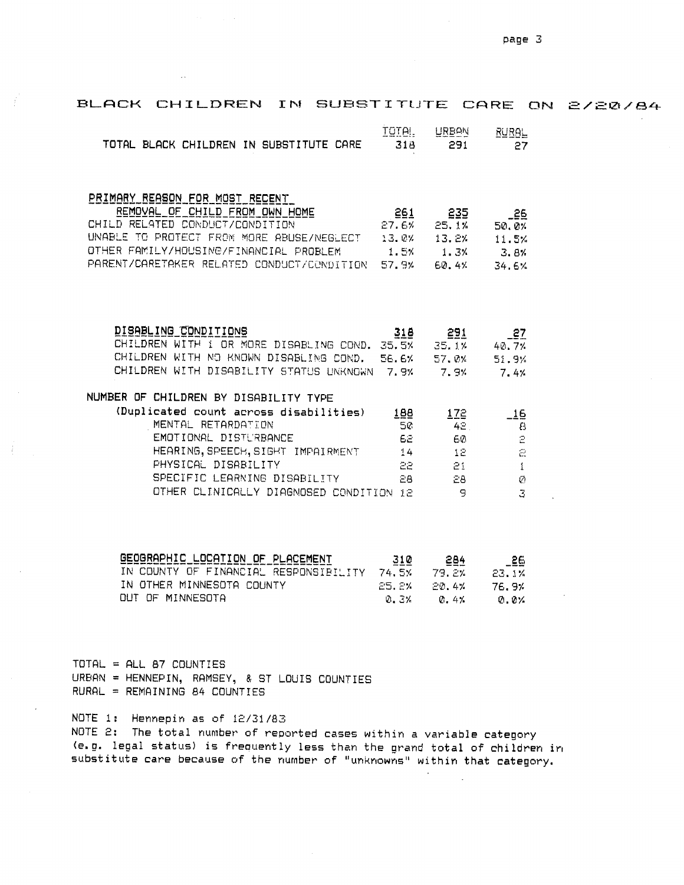| BLACK CHILDREN IN SUBSTITUTE CARE ON 2/20/84                                                                                                       |                   |                                            |                               |  |
|----------------------------------------------------------------------------------------------------------------------------------------------------|-------------------|--------------------------------------------|-------------------------------|--|
| TOTAL BLACK CHILDREN IN SUBSTITUTE CARE                                                                                                            | TOTAL.<br>318     | URBAN<br>291                               | <b>RURAL</b><br>27            |  |
|                                                                                                                                                    |                   |                                            |                               |  |
| PRIMARY REASON FOR MOST RECENT                                                                                                                     |                   |                                            |                               |  |
| REMOVAL OF CHILD FROM OWN HOME                                                                                                                     | 261               | 235                                        | $-26$                         |  |
| CHILD RELATED CONDUCT/CONDITION<br>UNABLE TO PROTECT FROM MORE ABUSE/NEGLECT 13.0% 13.2% 11.5%                                                     |                   | 27.6% 25.1%                                | 50.0%                         |  |
| UNABLE TO PROTECT FROM MORE HOODLINGCOOL.<br>OTHER FAMILY/HOUSING/FINANCIAL PROBLEM 1.5% 1.3%<br>COLLEGE TO THE STEP CONDUCT/CONDITION 57.9% 60.4% |                   |                                            | 3.8%                          |  |
|                                                                                                                                                    |                   |                                            | 34.6%                         |  |
|                                                                                                                                                    |                   |                                            |                               |  |
| DISABLING CONDITIONS                                                                                                                               |                   |                                            |                               |  |
| CHILDREN WITH I OR MORE DISABLING COND. 35.5% 35.1% 40.7%                                                                                          | 318 <b>System</b> | 291                                        | $-27$                         |  |
| CHILDREN WITH NO KNOWN DISABLING COND. 56.6% 57.0%                                                                                                 |                   |                                            | 51.9%                         |  |
| CHILDREN WITH DISABILITY STATUS UNKNOWN 7.9% 7.9%                                                                                                  |                   |                                            | 7.4%                          |  |
| NUMBER OF CHILDREN BY DISABILITY TYPE                                                                                                              |                   |                                            |                               |  |
| (Duplicated count across disabilities) 188                                                                                                         |                   | 172                                        | $-16$                         |  |
| MENTAL RETARDATION                                                                                                                                 | 50                | 42 <sub>1</sub>                            | $\boldsymbol{\Theta}$         |  |
| EMOTIONAL DISTURBANCE                                                                                                                              |                   | 60                                         | $\mathbb{P}$                  |  |
| HEARING, SPEECH, SIGHT IMPAIRMENT 14 12<br>PHYSICAL DISABILITY                                                                                     |                   | 22 11 11 12 13 14 15 15 16 16 17<br>$21 -$ | $\Xi$                         |  |
| SPECIFIC LEARNING DISABILITY                                                                                                                       |                   | 28 33<br>28                                | $\mathbf{1}$<br>$\mathcal{O}$ |  |
| OTHER CLINICALLY DIAGNOSED CONDITION 12 9                                                                                                          |                   |                                            | 3                             |  |
|                                                                                                                                                    |                   |                                            |                               |  |
| <u>GEOGRAPHIC LOCATION OF PLACEMENT 310</u>                                                                                                        |                   | <u>284 - </u>                              | -55                           |  |
| IN COUNTY OF FINANCIAL RESPONSIBILITY 74.5% 79.2% 23.1%                                                                                            |                   |                                            |                               |  |
| IN OTHER MINNESOTA COUNTY                                                                                                                          | 25.8%             | 20.4%                                      | 76.9%                         |  |
| OUT OF MINNESOTA                                                                                                                                   | 0.3%              | 0.41                                       | $Q. Q$ %                      |  |

TOTAL = ALL 87 COUNTIES  $URBAN = HENNEPIN, RAMSEY, 8 ST LOUIS COUNTIES$ RURAL = REMAINING 84 COUNTIES

NOTE 1: Hennepin as of 12/31/83

NOTE 2: The total number of reported cases within a variable category (e.g. legal status) is frequently less than the grand total of children in substitute care because of the number of "unknowns" within that category.